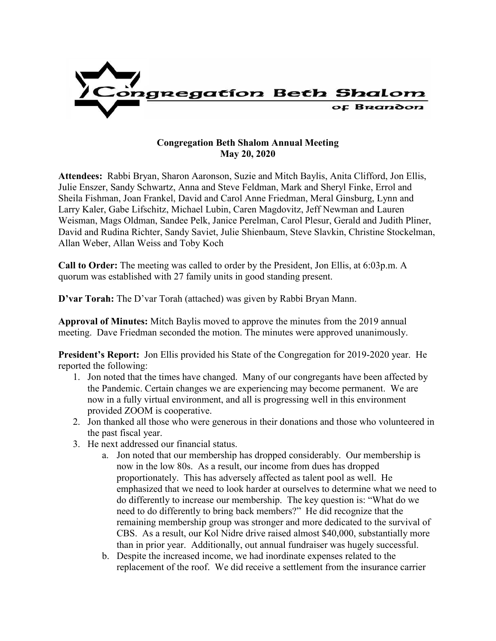

## **Congregation Beth Shalom Annual Meeting May 20, 2020**

**Attendees:** Rabbi Bryan, Sharon Aaronson, Suzie and Mitch Baylis, Anita Clifford, Jon Ellis, Julie Enszer, Sandy Schwartz, Anna and Steve Feldman, Mark and Sheryl Finke, Errol and Sheila Fishman, Joan Frankel, David and Carol Anne Friedman, Meral Ginsburg, Lynn and Larry Kaler, Gabe Lifschitz, Michael Lubin, Caren Magdovitz, Jeff Newman and Lauren Weisman, Mags Oldman, Sandee Pelk, Janice Perelman, Carol Plesur, Gerald and Judith Pliner, David and Rudina Richter, Sandy Saviet, Julie Shienbaum, Steve Slavkin, Christine Stockelman, Allan Weber, Allan Weiss and Toby Koch

**Call to Order:** The meeting was called to order by the President, Jon Ellis, at 6:03p.m. A quorum was established with 27 family units in good standing present.

**D'var Torah:** The D'var Torah (attached) was given by Rabbi Bryan Mann.

**Approval of Minutes:** Mitch Baylis moved to approve the minutes from the 2019 annual meeting. Dave Friedman seconded the motion. The minutes were approved unanimously.

**President's Report:** Jon Ellis provided his State of the Congregation for 2019-2020 year. He reported the following:

- 1. Jon noted that the times have changed. Many of our congregants have been affected by the Pandemic. Certain changes we are experiencing may become permanent. We are now in a fully virtual environment, and all is progressing well in this environment provided ZOOM is cooperative.
- 2. Jon thanked all those who were generous in their donations and those who volunteered in the past fiscal year.
- 3. He next addressed our financial status.
	- a. Jon noted that our membership has dropped considerably. Our membership is now in the low 80s. As a result, our income from dues has dropped proportionately. This has adversely affected as talent pool as well. He emphasized that we need to look harder at ourselves to determine what we need to do differently to increase our membership. The key question is: "What do we need to do differently to bring back members?" He did recognize that the remaining membership group was stronger and more dedicated to the survival of CBS. As a result, our Kol Nidre drive raised almost \$40,000, substantially more than in prior year. Additionally, out annual fundraiser was hugely successful.
	- b. Despite the increased income, we had inordinate expenses related to the replacement of the roof. We did receive a settlement from the insurance carrier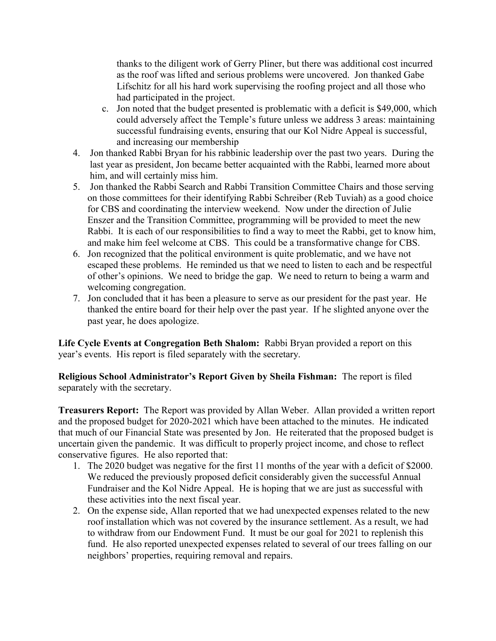thanks to the diligent work of Gerry Pliner, but there was additional cost incurred as the roof was lifted and serious problems were uncovered. Jon thanked Gabe Lifschitz for all his hard work supervising the roofing project and all those who had participated in the project.

- c. Jon noted that the budget presented is problematic with a deficit is \$49,000, which could adversely affect the Temple's future unless we address 3 areas: maintaining successful fundraising events, ensuring that our Kol Nidre Appeal is successful, and increasing our membership
- 4. Jon thanked Rabbi Bryan for his rabbinic leadership over the past two years. During the last year as president, Jon became better acquainted with the Rabbi, learned more about him, and will certainly miss him.
- 5. Jon thanked the Rabbi Search and Rabbi Transition Committee Chairs and those serving on those committees for their identifying Rabbi Schreiber (Reb Tuviah) as a good choice for CBS and coordinating the interview weekend. Now under the direction of Julie Enszer and the Transition Committee, programming will be provided to meet the new Rabbi. It is each of our responsibilities to find a way to meet the Rabbi, get to know him, and make him feel welcome at CBS. This could be a transformative change for CBS.
- 6. Jon recognized that the political environment is quite problematic, and we have not escaped these problems. He reminded us that we need to listen to each and be respectful of other's opinions. We need to bridge the gap. We need to return to being a warm and welcoming congregation.
- 7. Jon concluded that it has been a pleasure to serve as our president for the past year. He thanked the entire board for their help over the past year. If he slighted anyone over the past year, he does apologize.

**Life Cycle Events at Congregation Beth Shalom:** Rabbi Bryan provided a report on this year's events. His report is filed separately with the secretary.

**Religious School Administrator's Report Given by Sheila Fishman:** The report is filed separately with the secretary.

**Treasurers Report:** The Report was provided by Allan Weber. Allan provided a written report and the proposed budget for 2020-2021 which have been attached to the minutes. He indicated that much of our Financial State was presented by Jon. He reiterated that the proposed budget is uncertain given the pandemic. It was difficult to properly project income, and chose to reflect conservative figures. He also reported that:

- 1. The 2020 budget was negative for the first 11 months of the year with a deficit of \$2000. We reduced the previously proposed deficit considerably given the successful Annual Fundraiser and the Kol Nidre Appeal. He is hoping that we are just as successful with these activities into the next fiscal year.
- 2. On the expense side, Allan reported that we had unexpected expenses related to the new roof installation which was not covered by the insurance settlement. As a result, we had to withdraw from our Endowment Fund. It must be our goal for 2021 to replenish this fund. He also reported unexpected expenses related to several of our trees falling on our neighbors' properties, requiring removal and repairs.